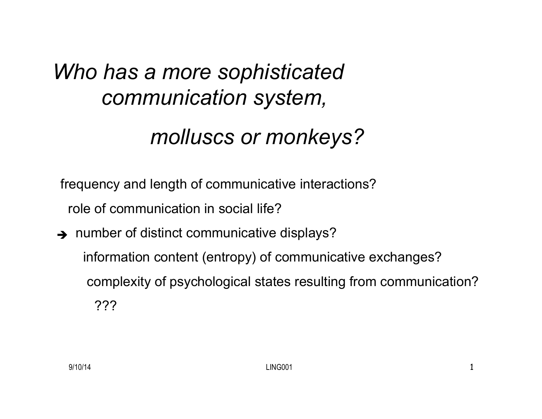#### *Who has a more sophisticated communication system,*

#### *molluscs or monkeys?*

frequency and length of communicative interactions? role of communication in social life?

 $\rightarrow$  number of distinct communicative displays?

 information content (entropy) of communicative exchanges? complexity of psychological states resulting from communication? ???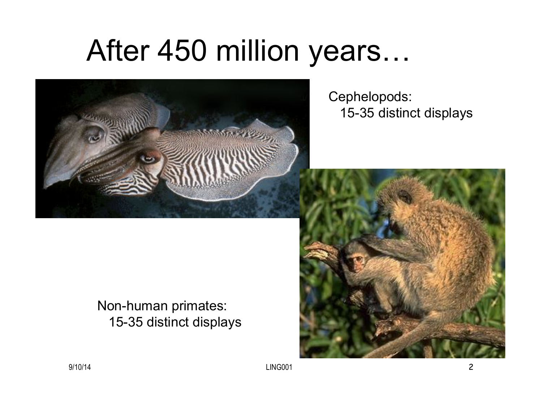### After 450 million years…



Cephelopods: 15-35 distinct displays

#### Non-human primates: 15-35 distinct displays



9/10/14 LING001 2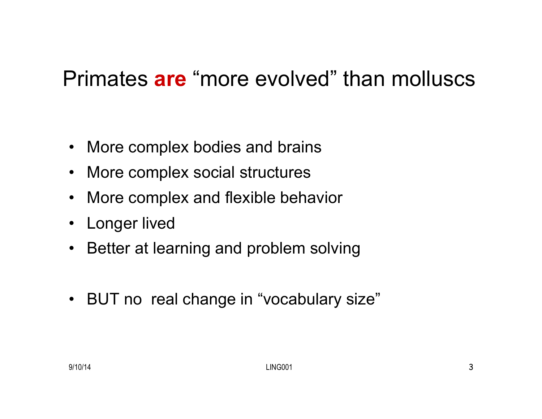#### Primates **are** "more evolved" than molluscs

- More complex bodies and brains
- More complex social structures
- More complex and flexible behavior
- Longer lived
- Better at learning and problem solving
- BUT no real change in "vocabulary size"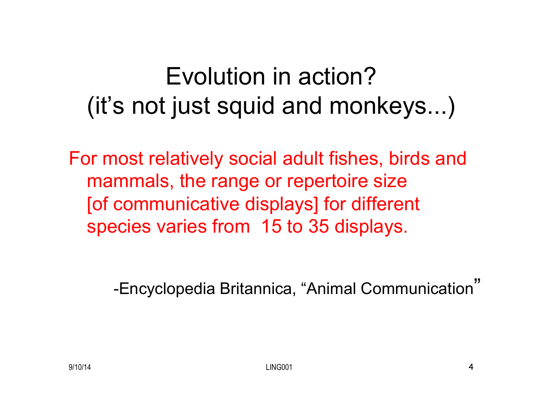### Evolution in action? (it's not just squid and monkeys...)

For most relatively social adult fishes, birds and mammals, the range or repertoire size [of communicative displays] for different species varies from 15 to 35 displays.

-Encyclopedia Britannica, "Animal Communication"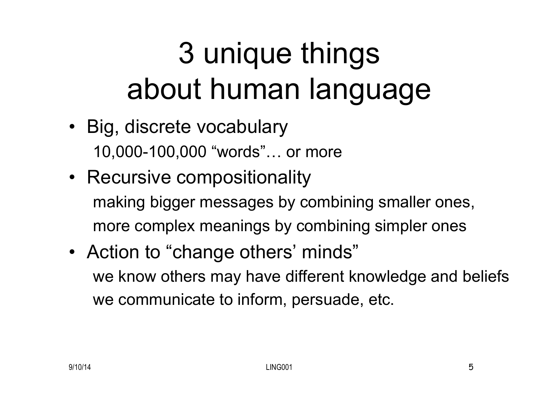# 3 unique things about human language

- Big, discrete vocabulary 10,000-100,000 "words"… or more
- Recursive compositionality making bigger messages by combining smaller ones, more complex meanings by combining simpler ones
- Action to "change others' minds" we know others may have different knowledge and beliefs we communicate to inform, persuade, etc.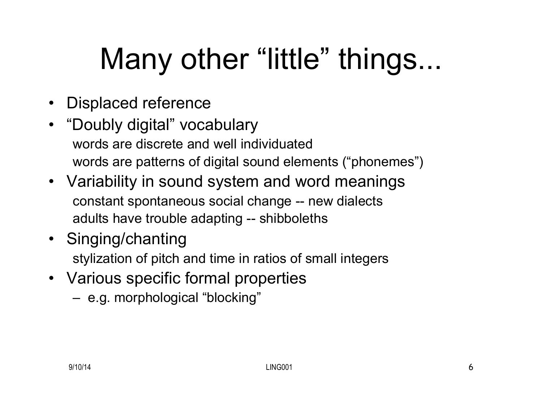# Many other "little" things...

- Displaced reference
- "Doubly digital" vocabulary words are discrete and well individuated words are patterns of digital sound elements ("phonemes")
- Variability in sound system and word meanings constant spontaneous social change -- new dialects adults have trouble adapting -- shibboleths
- Singing/chanting stylization of pitch and time in ratios of small integers
- Various specific formal properties
	- e.g. morphological "blocking"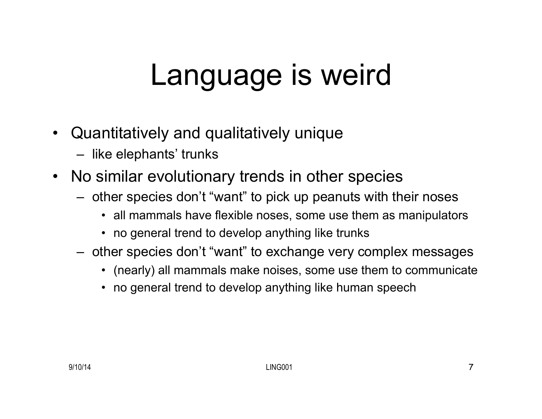### Language is weird

- Quantitatively and qualitatively unique
	- like elephants' trunks
- No similar evolutionary trends in other species
	- other species don't "want" to pick up peanuts with their noses
		- all mammals have flexible noses, some use them as manipulators
		- no general trend to develop anything like trunks
	- other species don't "want" to exchange very complex messages
		- (nearly) all mammals make noises, some use them to communicate
		- no general trend to develop anything like human speech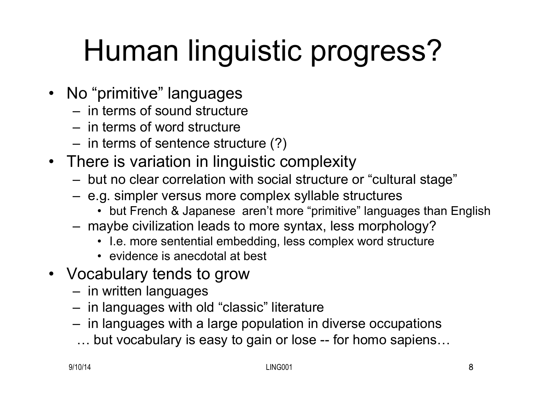# Human linguistic progress?

- No "primitive" languages
	- in terms of sound structure
	- in terms of word structure
	- in terms of sentence structure (?)
- There is variation in linguistic complexity
	- but no clear correlation with social structure or "cultural stage"
	- e.g. simpler versus more complex syllable structures
		- but French & Japanese aren't more "primitive" languages than English
	- maybe civilization leads to more syntax, less morphology?
		- I.e. more sentential embedding, less complex word structure
		- evidence is anecdotal at best
- Vocabulary tends to grow
	- in written languages
	- in languages with old "classic" literature
	- in languages with a large population in diverse occupations
	- … but vocabulary is easy to gain or lose -- for homo sapiens…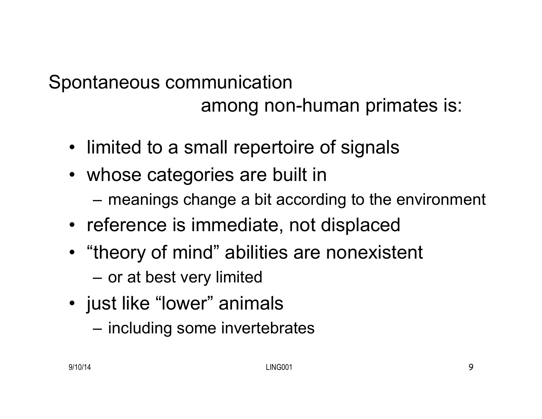#### Spontaneous communication among non-human primates is:

- limited to a small repertoire of signals
- whose categories are built in
	- meanings change a bit according to the environment
- reference is immediate, not displaced
- "theory of mind" abilities are nonexistent
	- or at best very limited
- just like "lower" animals
	- including some invertebrates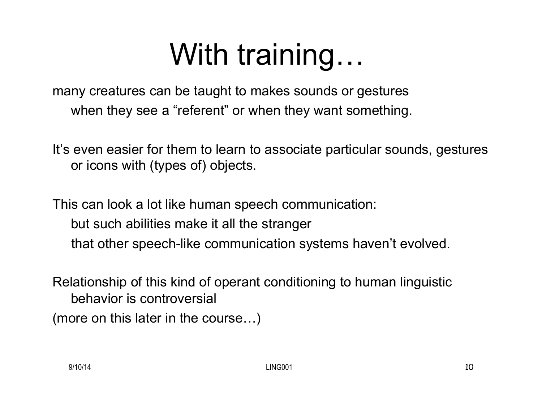## With training…

many creatures can be taught to makes sounds or gestures when they see a "referent" or when they want something.

It's even easier for them to learn to associate particular sounds, gestures or icons with (types of) objects.

This can look a lot like human speech communication:

- but such abilities make it all the stranger
- that other speech-like communication systems haven't evolved.

Relationship of this kind of operant conditioning to human linguistic behavior is controversial

(more on this later in the course…)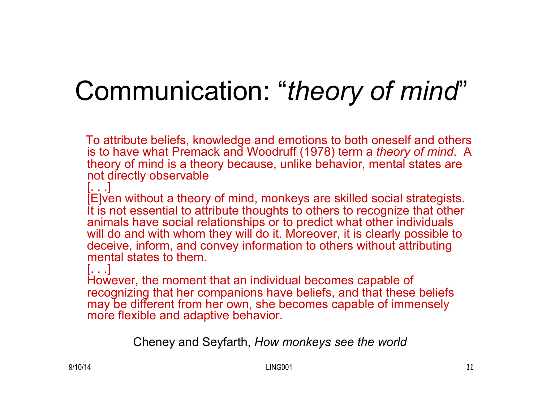### Communication: "*theory of mind*"

 To attribute beliefs, knowledge and emotions to both oneself and others is to have what Premack and Woodruff (1978) term a *theory of mind*. A theory of mind is a theory because, unlike behavior, mental states are not directly observable

[. . .]

[E]ven without a theory of mind, monkeys are skilled social strategists. It is not essential to attribute thoughts to others to recognize that other animals have social relationships or to predict what other individuals will do and with whom they will do it. Moreover, it is clearly possible to deceive, inform, and convey information to others without attributing mental states to them.

[. . .]

However, the moment that an individual becomes capable of recognizing that her companions have beliefs, and that these beliefs may be different from her own, she becomes capable of immensely more flexible and adaptive behavior.

Cheney and Seyfarth, *How monkeys see the world*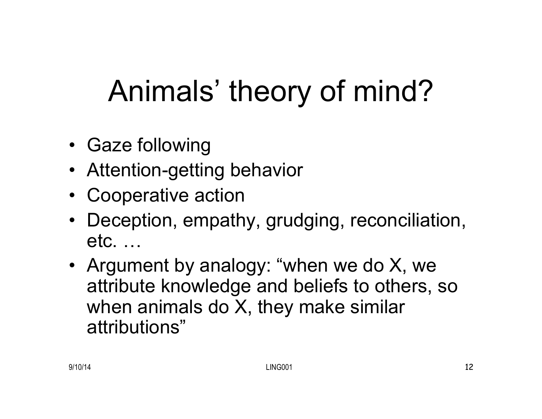## Animals' theory of mind?

- Gaze following
- Attention-getting behavior
- Cooperative action
- Deception, empathy, grudging, reconciliation, etc. …
- Argument by analogy: "when we do X, we attribute knowledge and beliefs to others, so when animals do X, they make similar attributions"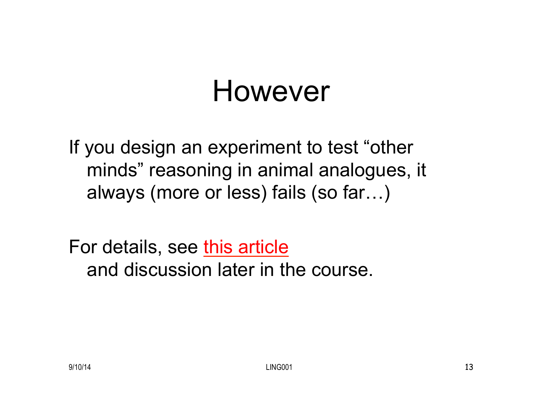### However

If you design an experiment to test "other minds" reasoning in animal analogues, it always (more or less) fails (so far…)

For details, see this article and discussion later in the course.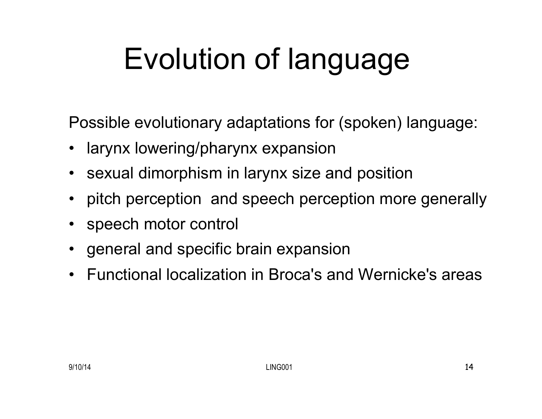# Evolution of language

Possible evolutionary adaptations for (spoken) language:

- larynx lowering/pharynx expansion
- sexual dimorphism in larynx size and position
- pitch perception and speech perception more generally
- speech motor control
- general and specific brain expansion
- Functional localization in Broca's and Wernicke's areas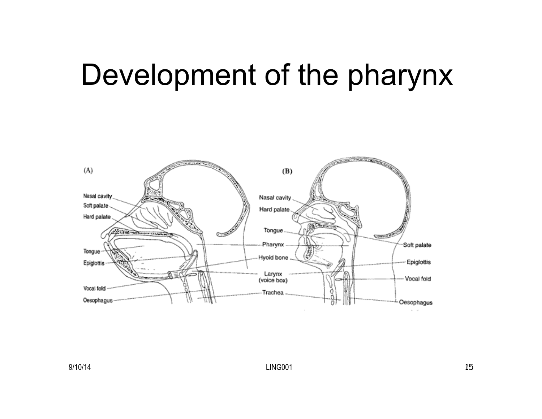### Development of the pharynx

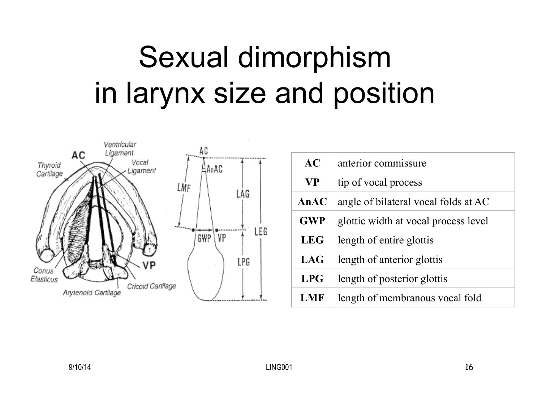## Sexual dimorphism in larynx size and position



| AC         | anterior commissure                  |  |  |
|------------|--------------------------------------|--|--|
| <b>VP</b>  | tip of vocal process                 |  |  |
| AnAC       | angle of bilateral vocal folds at AC |  |  |
| <b>GWP</b> | glottic width at vocal process level |  |  |
| <b>LEG</b> | length of entire glottis             |  |  |
| LAG        | length of anterior glottis           |  |  |
| <b>LPG</b> | length of posterior glottis          |  |  |
| <b>LMF</b> | length of membranous vocal fold      |  |  |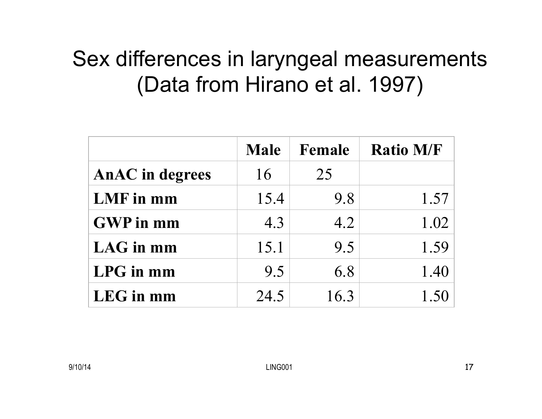#### Sex differences in laryngeal measurements (Data from Hirano et al. 1997)

|                        | <b>Male</b> | Female | <b>Ratio M/F</b> |
|------------------------|-------------|--------|------------------|
| <b>AnAC</b> in degrees | 16          | 25     |                  |
| LMF in mm              | 15.4        | 9.8    | 1.57             |
| <b>GWP</b> in mm       | 4.3         | 4.2    | 1.02             |
| LAG in mm              | 15.1        | 9.5    | 1.59             |
| LPG in mm              | 9.5         | 6.8    | 1.40             |
| LEG in mm              | 24.5        | 16.3   |                  |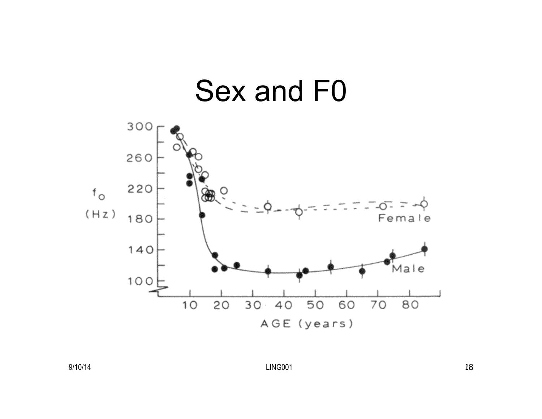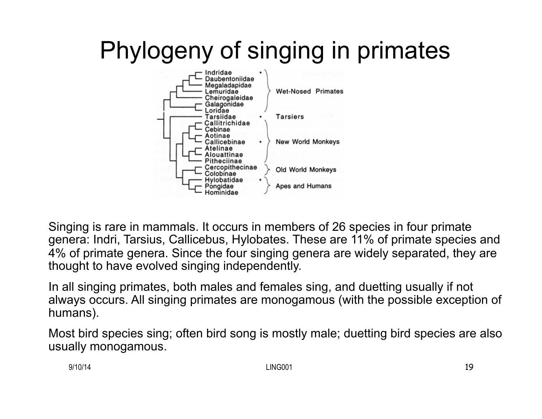### Phylogeny of singing in primates



Singing is rare in mammals. It occurs in members of 26 species in four primate genera: Indri, Tarsius, Callicebus, Hylobates. These are 11% of primate species and 4% of primate genera. Since the four singing genera are widely separated, they are thought to have evolved singing independently.

In all singing primates, both males and females sing, and duetting usually if not always occurs. All singing primates are monogamous (with the possible exception of humans).

Most bird species sing; often bird song is mostly male; duetting bird species are also usually monogamous.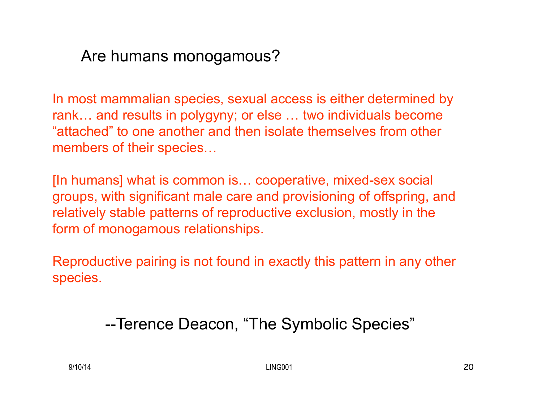#### Are humans monogamous?

In most mammalian species, sexual access is either determined by rank… and results in polygyny; or else … two individuals become "attached" to one another and then isolate themselves from other members of their species…

[In humans] what is common is… cooperative, mixed-sex social groups, with significant male care and provisioning of offspring, and relatively stable patterns of reproductive exclusion, mostly in the form of monogamous relationships.

Reproductive pairing is not found in exactly this pattern in any other species.

--Terence Deacon, "The Symbolic Species"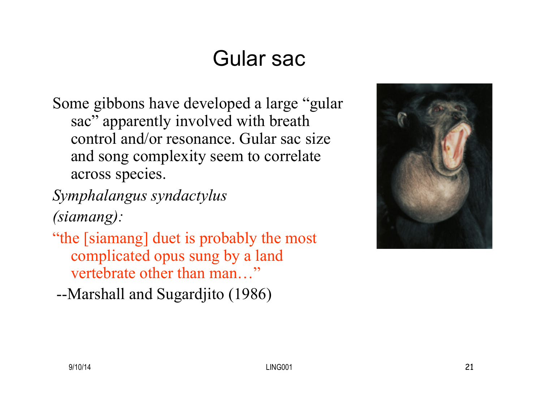#### Gular sac

- Some gibbons have developed a large "gular sac" apparently involved with breath control and/or resonance. Gular sac size and song complexity seem to correlate across species.
- *Symphalangus syndactylus (siamang):*
- "the [siamang] duet is probably the most complicated opus sung by a land vertebrate other than man…"
- --Marshall and Sugardjito (1986)

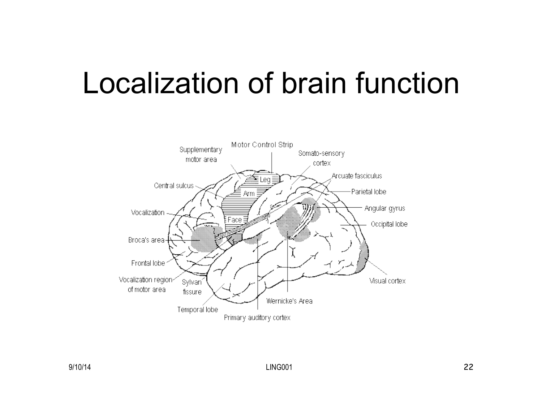### Localization of brain function

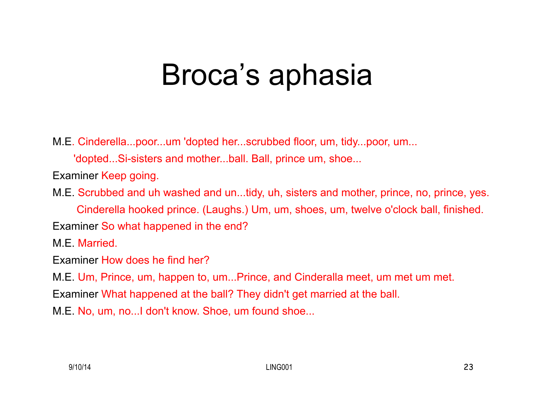### Broca's aphasia

M.E. Cinderella...poor...um 'dopted her...scrubbed floor, um, tidy...poor, um...

'dopted...Si-sisters and mother...ball. Ball, prince um, shoe...

Examiner Keep going.

M.E. Scrubbed and uh washed and un...tidy, uh, sisters and mother, prince, no, prince, yes. Cinderella hooked prince. (Laughs.) Um, um, shoes, um, twelve o'clock ball, finished. Examiner So what happened in the end?

M.E. Married.

Examiner How does he find her?

M.E. Um, Prince, um, happen to, um...Prince, and Cinderalla meet, um met um met.

Examiner What happened at the ball? They didn't get married at the ball.

M.E. No, um, no...I don't know. Shoe, um found shoe...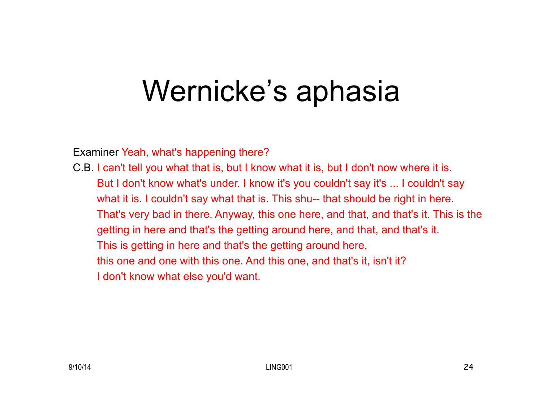### Wernicke's aphasia

Examiner Yeah, what's happening there?

C.B. I can't tell you what that is, but I know what it is, but I don't now where it is. But I don't know what's under. I know it's you couldn't say it's ... I couldn't say what it is. I couldn't say what that is. This shu-- that should be right in here. That's very bad in there. Anyway, this one here, and that, and that's it. This is the getting in here and that's the getting around here, and that, and that's it. This is getting in here and that's the getting around here, this one and one with this one. And this one, and that's it, isn't it? I don't know what else you'd want.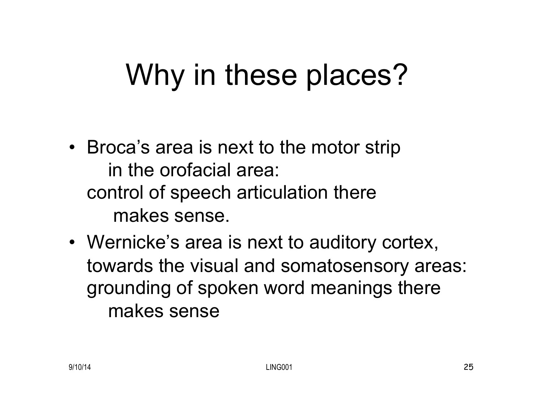### Why in these places?

- Broca's area is next to the motor strip in the orofacial area: control of speech articulation there makes sense.
- Wernicke's area is next to auditory cortex, towards the visual and somatosensory areas: grounding of spoken word meanings there makes sense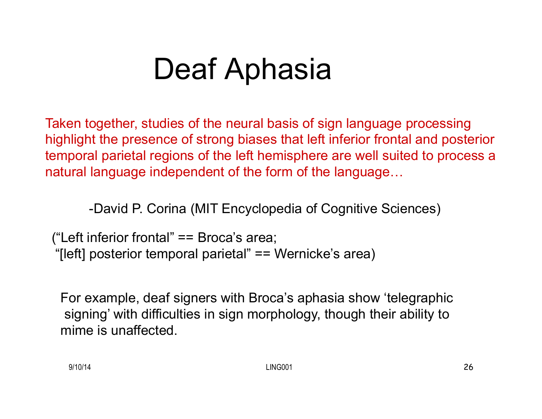### Deaf Aphasia

Taken together, studies of the neural basis of sign language processing highlight the presence of strong biases that left inferior frontal and posterior temporal parietal regions of the left hemisphere are well suited to process a natural language independent of the form of the language…

-David P. Corina (MIT Encyclopedia of Cognitive Sciences)

("Left inferior frontal" == Broca's area; "[left] posterior temporal parietal" == Wernicke's area)

For example, deaf signers with Broca's aphasia show 'telegraphic signing' with difficulties in sign morphology, though their ability to mime is unaffected.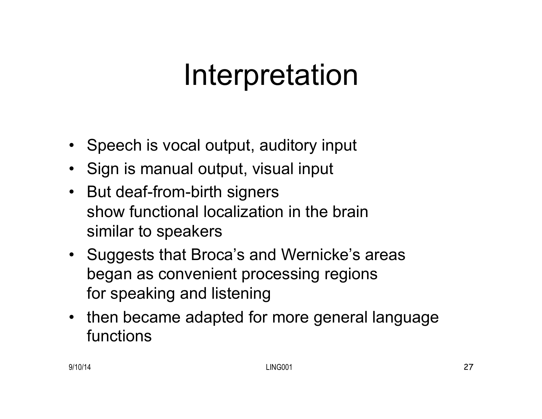### Interpretation

- Speech is vocal output, auditory input
- Sign is manual output, visual input
- But deaf-from-birth signers show functional localization in the brain similar to speakers
- Suggests that Broca's and Wernicke's areas began as convenient processing regions for speaking and listening
- then became adapted for more general language functions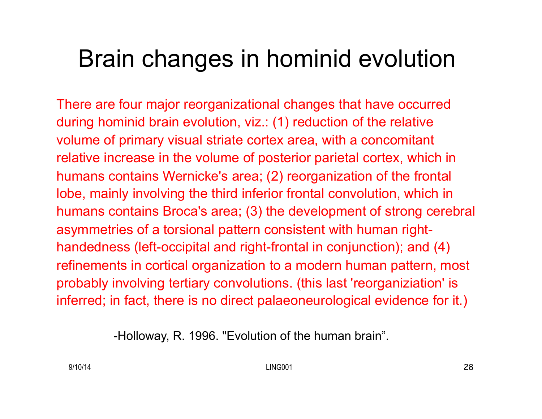#### Brain changes in hominid evolution

There are four major reorganizational changes that have occurred during hominid brain evolution, viz.: (1) reduction of the relative volume of primary visual striate cortex area, with a concomitant relative increase in the volume of posterior parietal cortex, which in humans contains Wernicke's area; (2) reorganization of the frontal lobe, mainly involving the third inferior frontal convolution, which in humans contains Broca's area; (3) the development of strong cerebral asymmetries of a torsional pattern consistent with human righthandedness (left-occipital and right-frontal in conjunction); and (4) refinements in cortical organization to a modern human pattern, most probably involving tertiary convolutions. (this last 'reorganiziation' is inferred; in fact, there is no direct palaeoneurological evidence for it.)

-Holloway, R. 1996. "Evolution of the human brain".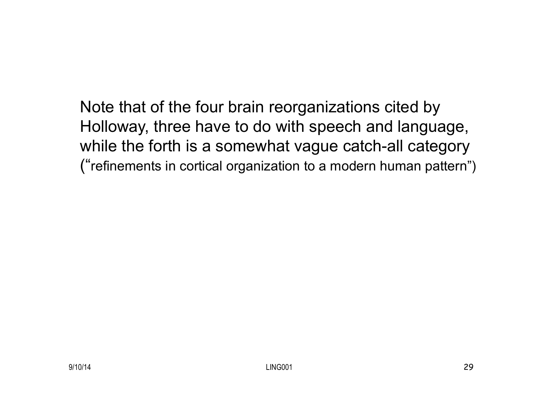Note that of the four brain reorganizations cited by Holloway, three have to do with speech and language, while the forth is a somewhat vague catch-all category ("refinements in cortical organization to a modern human pattern")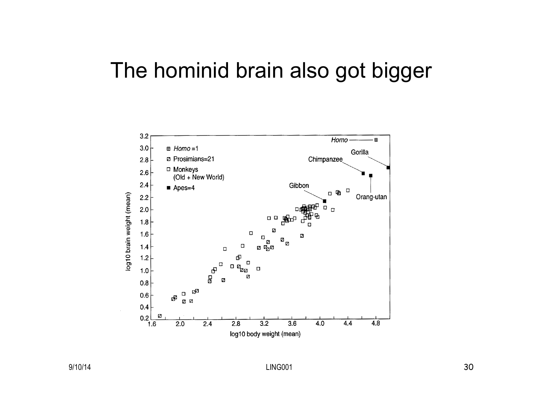#### The hominid brain also got bigger



9/10/14 LING001 30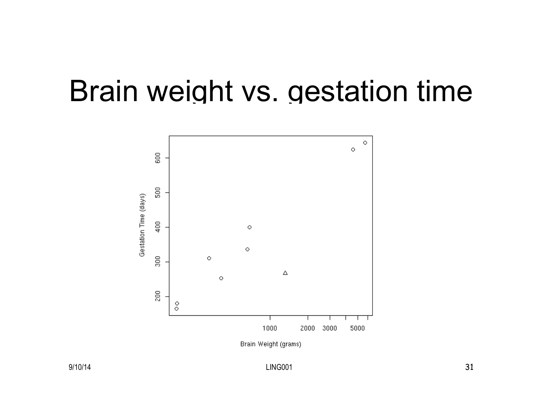### Brain weight vs. gestation time



9/10/14 21 22 31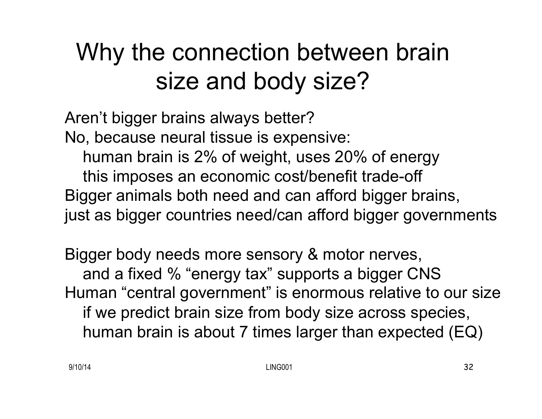### Why the connection between brain size and body size?

Aren't bigger brains always better? No, because neural tissue is expensive: human brain is 2% of weight, uses 20% of energy this imposes an economic cost/benefit trade-off Bigger animals both need and can afford bigger brains, just as bigger countries need/can afford bigger governments

Bigger body needs more sensory & motor nerves, and a fixed % "energy tax" supports a bigger CNS Human "central government" is enormous relative to our size if we predict brain size from body size across species, human brain is about 7 times larger than expected (EQ)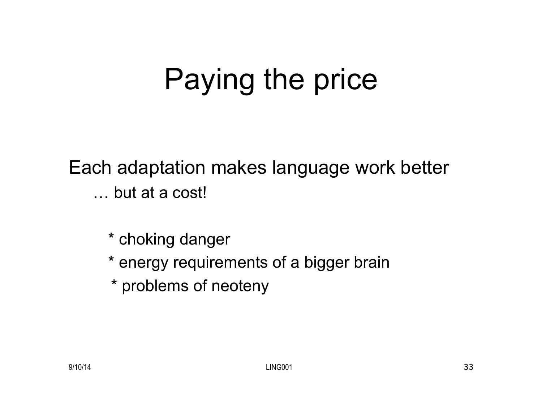## Paying the price

Each adaptation makes language work better … but at a cost!

\* choking danger

\* energy requirements of a bigger brain

\* problems of neoteny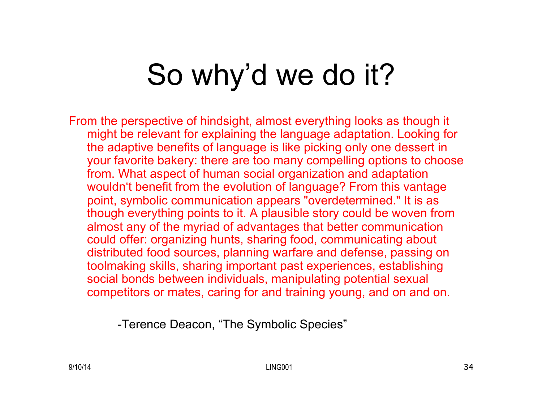## So why'd we do it?

From the perspective of hindsight, almost everything looks as though it might be relevant for explaining the language adaptation. Looking for the adaptive benefits of language is like picking only one dessert in your favorite bakery: there are too many compelling options to choose from. What aspect of human social organization and adaptation wouldn't benefit from the evolution of language? From this vantage point, symbolic communication appears "overdetermined." It is as though everything points to it. A plausible story could be woven from almost any of the myriad of advantages that better communication could offer: organizing hunts, sharing food, communicating about distributed food sources, planning warfare and defense, passing on toolmaking skills, sharing important past experiences, establishing social bonds between individuals, manipulating potential sexual competitors or mates, caring for and training young, and on and on.

-Terence Deacon, "The Symbolic Species"